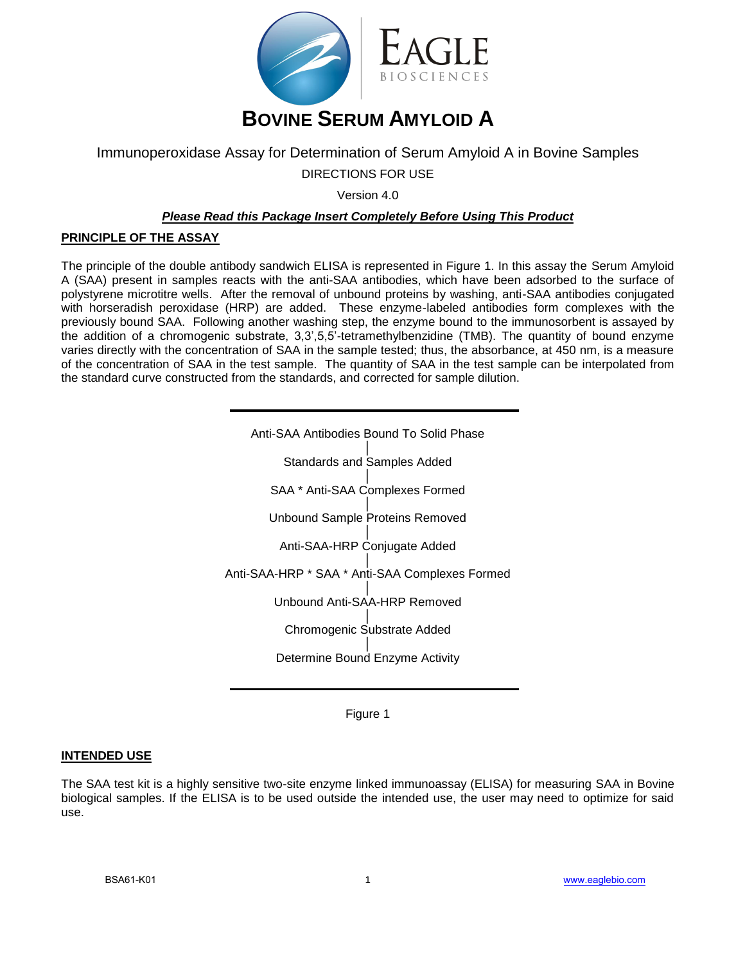

# Immunoperoxidase Assay for Determination of Serum Amyloid A in Bovine Samples DIRECTIONS FOR USE

Version 4.0

## *Please Read this Package Insert Completely Before Using This Product*

### **PRINCIPLE OF THE ASSAY**

The principle of the double antibody sandwich ELISA is represented in Figure 1. In this assay the Serum Amyloid A (SAA) present in samples reacts with the anti-SAA antibodies, which have been adsorbed to the surface of polystyrene microtitre wells. After the removal of unbound proteins by washing, anti-SAA antibodies conjugated with horseradish peroxidase (HRP) are added. These enzyme-labeled antibodies form complexes with the previously bound SAA. Following another washing step, the enzyme bound to the immunosorbent is assayed by the addition of a chromogenic substrate, 3,3',5,5'-tetramethylbenzidine (TMB). The quantity of bound enzyme varies directly with the concentration of SAA in the sample tested; thus, the absorbance, at 450 nm, is a measure of the concentration of SAA in the test sample. The quantity of SAA in the test sample can be interpolated from the standard curve constructed from the standards, and corrected for sample dilution.

| Anti-SAA Antibodies Bound To Solid Phase       |
|------------------------------------------------|
| <b>Standards and Samples Added</b>             |
| SAA * Anti-SAA Complexes Formed                |
| <b>Unbound Sample Proteins Removed</b>         |
| Anti-SAA-HRP Conjugate Added                   |
| Anti-SAA-HRP * SAA * Anti-SAA Complexes Formed |
| Unbound Anti-SAA-HRP Removed                   |
| Chromogenic Substrate Added                    |
| Determine Bound Enzyme Activity                |

Figure 1

### **INTENDED USE**

The SAA test kit is a highly sensitive two-site enzyme linked immunoassay (ELISA) for measuring SAA in Bovine biological samples. If the ELISA is to be used outside the intended use, the user may need to optimize for said use.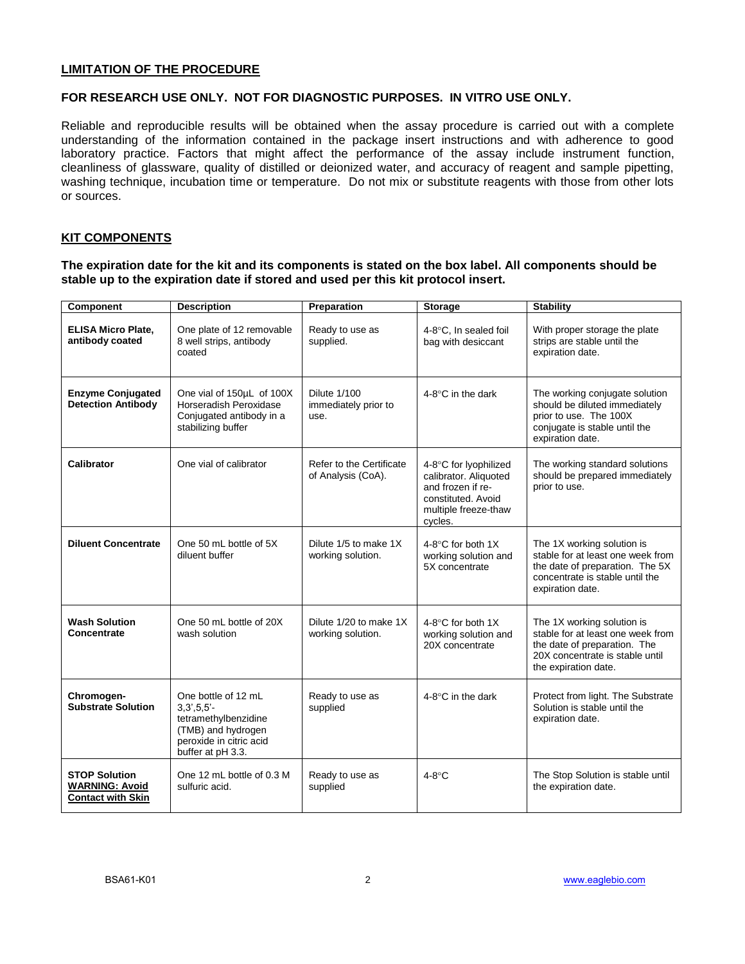#### **LIMITATION OF THE PROCEDURE**

### **FOR RESEARCH USE ONLY. NOT FOR DIAGNOSTIC PURPOSES. IN VITRO USE ONLY.**

Reliable and reproducible results will be obtained when the assay procedure is carried out with a complete understanding of the information contained in the package insert instructions and with adherence to good laboratory practice. Factors that might affect the performance of the assay include instrument function, cleanliness of glassware, quality of distilled or deionized water, and accuracy of reagent and sample pipetting, washing technique, incubation time or temperature. Do not mix or substitute reagents with those from other lots or sources.

#### **KIT COMPONENTS**

**The expiration date for the kit and its components is stated on the box label. All components should be stable up to the expiration date if stored and used per this kit protocol insert.** 

| Component                                                                 | <b>Description</b>                                                                                                                  | Preparation                                         | <b>Storage</b>                                                                                                               | <b>Stability</b>                                                                                                                                           |
|---------------------------------------------------------------------------|-------------------------------------------------------------------------------------------------------------------------------------|-----------------------------------------------------|------------------------------------------------------------------------------------------------------------------------------|------------------------------------------------------------------------------------------------------------------------------------------------------------|
| <b>ELISA Micro Plate.</b><br>antibody coated                              | One plate of 12 removable<br>8 well strips, antibody<br>coated                                                                      | Ready to use as<br>supplied.                        | 4-8°C. In sealed foil<br>bag with desiccant                                                                                  | With proper storage the plate<br>strips are stable until the<br>expiration date.                                                                           |
| <b>Enzyme Conjugated</b><br><b>Detection Antibody</b>                     | One vial of 150µL of 100X<br>Horseradish Peroxidase<br>Conjugated antibody in a<br>stabilizing buffer                               | <b>Dilute 1/100</b><br>immediately prior to<br>use. | 4-8 $\degree$ C in the dark                                                                                                  | The working conjugate solution<br>should be diluted immediately<br>prior to use. The 100X<br>conjugate is stable until the<br>expiration date.             |
| <b>Calibrator</b>                                                         | One vial of calibrator                                                                                                              | Refer to the Certificate<br>of Analysis (CoA).      | 4-8°C for lyophilized<br>calibrator. Aliquoted<br>and frozen if re-<br>constituted. Avoid<br>multiple freeze-thaw<br>cycles. | The working standard solutions<br>should be prepared immediately<br>prior to use.                                                                          |
| <b>Diluent Concentrate</b>                                                | One 50 mL bottle of 5X<br>diluent buffer                                                                                            | Dilute 1/5 to make 1X<br>working solution.          | 4-8 $\degree$ C for both 1X<br>working solution and<br>5X concentrate                                                        | The 1X working solution is<br>stable for at least one week from<br>the date of preparation. The 5X<br>concentrate is stable until the<br>expiration date.  |
| <b>Wash Solution</b><br>Concentrate                                       | One 50 mL bottle of 20X<br>wash solution                                                                                            | Dilute 1/20 to make 1X<br>working solution.         | 4-8 $\degree$ C for both 1X<br>working solution and<br>20X concentrate                                                       | The 1X working solution is<br>stable for at least one week from<br>the date of preparation. The<br>20X concentrate is stable until<br>the expiration date. |
| Chromogen-<br><b>Substrate Solution</b>                                   | One bottle of 12 mL<br>$3.3', 5.5'$ -<br>tetramethylbenzidine<br>(TMB) and hydrogen<br>peroxide in citric acid<br>buffer at pH 3.3. | Ready to use as<br>supplied                         | 4-8 $\degree$ C in the dark                                                                                                  | Protect from light. The Substrate<br>Solution is stable until the<br>expiration date.                                                                      |
| <b>STOP Solution</b><br><b>WARNING: Avoid</b><br><b>Contact with Skin</b> | One 12 mL bottle of 0.3 M<br>sulfuric acid.                                                                                         | Ready to use as<br>supplied                         | $4-8^\circ C$                                                                                                                | The Stop Solution is stable until<br>the expiration date.                                                                                                  |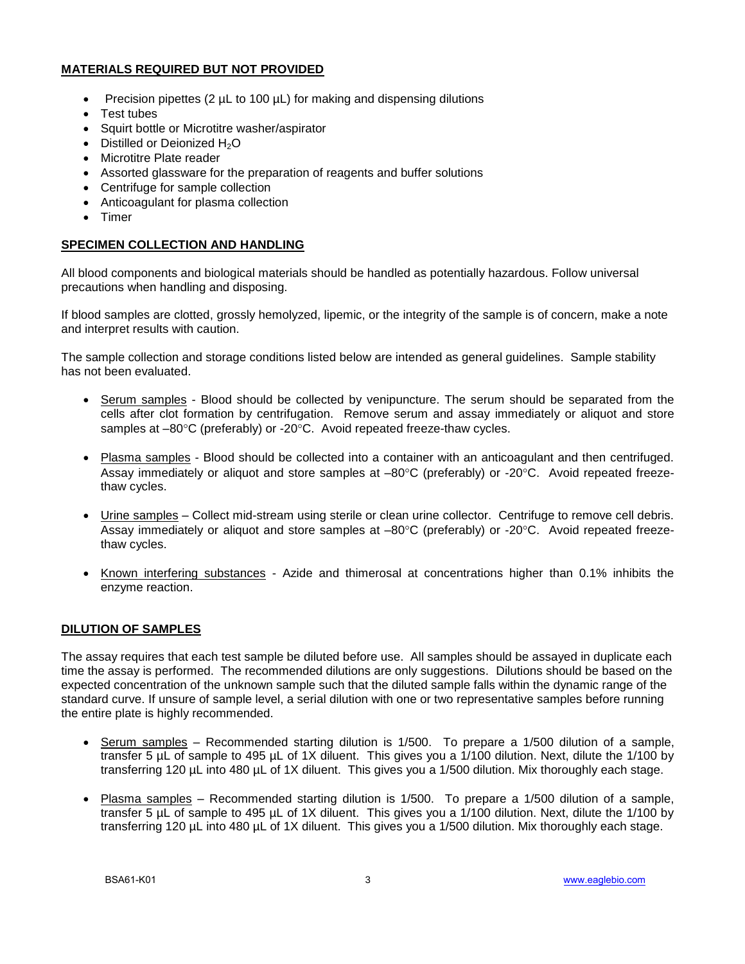# **MATERIALS REQUIRED BUT NOT PROVIDED**

- Precision pipettes (2  $\mu$ L to 100  $\mu$ L) for making and dispensing dilutions
- Test tubes
- Squirt bottle or Microtitre washer/aspirator
- $\bullet$  Distilled or Deionized H<sub>2</sub>O
- Microtitre Plate reader
- Assorted glassware for the preparation of reagents and buffer solutions
- Centrifuge for sample collection
- Anticoagulant for plasma collection
- Timer

## **SPECIMEN COLLECTION AND HANDLING**

All blood components and biological materials should be handled as potentially hazardous. Follow universal precautions when handling and disposing.

If blood samples are clotted, grossly hemolyzed, lipemic, or the integrity of the sample is of concern, make a note and interpret results with caution.

The sample collection and storage conditions listed below are intended as general guidelines. Sample stability has not been evaluated.

- Serum samples Blood should be collected by venipuncture. The serum should be separated from the cells after clot formation by centrifugation. Remove serum and assay immediately or aliquot and store samples at –80°C (preferably) or -20°C. Avoid repeated freeze-thaw cycles.
- Plasma samples Blood should be collected into a container with an anticoagulant and then centrifuged. Assay immediately or aliquot and store samples at  $-80^{\circ}$ C (preferably) or -20 $^{\circ}$ C. Avoid repeated freezethaw cycles.
- Urine samples Collect mid-stream using sterile or clean urine collector. Centrifuge to remove cell debris. Assay immediately or aliquot and store samples at  $-80^{\circ}$ C (preferably) or  $-20^{\circ}$ C. Avoid repeated freezethaw cycles.
- Known interfering substances Azide and thimerosal at concentrations higher than 0.1% inhibits the enzyme reaction.

# **DILUTION OF SAMPLES**

The assay requires that each test sample be diluted before use. All samples should be assayed in duplicate each time the assay is performed. The recommended dilutions are only suggestions. Dilutions should be based on the expected concentration of the unknown sample such that the diluted sample falls within the dynamic range of the standard curve. If unsure of sample level, a serial dilution with one or two representative samples before running the entire plate is highly recommended.

- $\bullet$  Serum samples Recommended starting dilution is 1/500. To prepare a 1/500 dilution of a sample, transfer 5 µL of sample to 495 µL of 1X diluent. This gives you a 1/100 dilution. Next, dilute the 1/100 by transferring 120 µL into 480 µL of 1X diluent. This gives you a 1/500 dilution. Mix thoroughly each stage.
- Plasma samples Recommended starting dilution is 1/500. To prepare a 1/500 dilution of a sample, transfer 5 µL of sample to 495 µL of 1X diluent. This gives you a 1/100 dilution. Next, dilute the 1/100 by transferring 120 µL into 480 µL of 1X diluent. This gives you a 1/500 dilution. Mix thoroughly each stage.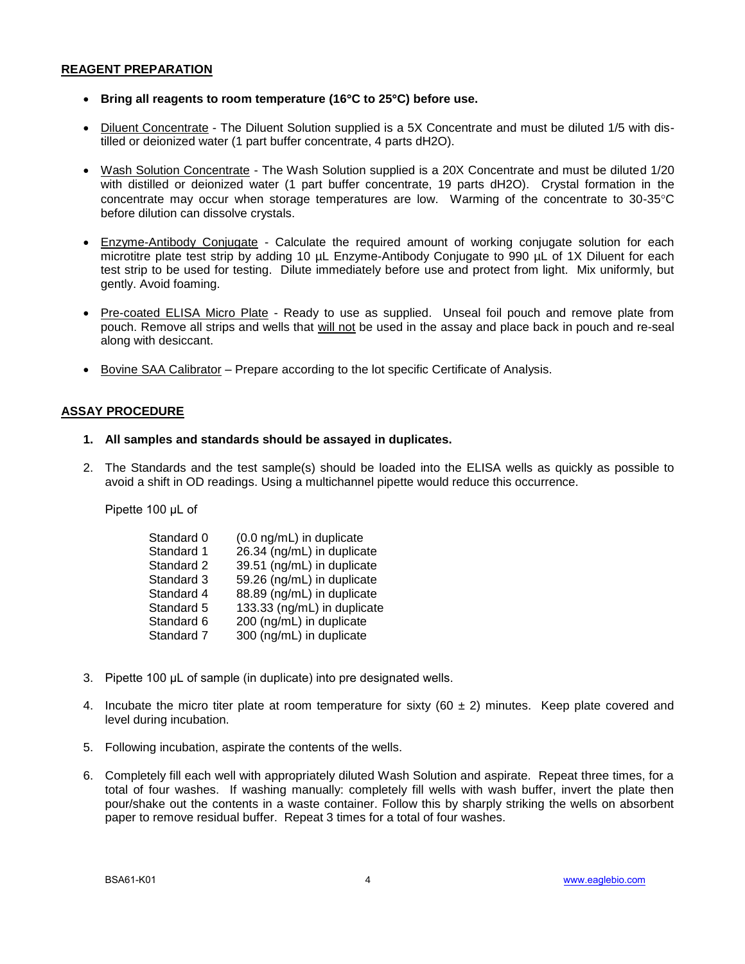### **REAGENT PREPARATION**

- **Bring all reagents to room temperature (16C to 25C) before use.**
- Diluent Concentrate The Diluent Solution supplied is a 5X Concentrate and must be diluted 1/5 with distilled or deionized water (1 part buffer concentrate, 4 parts dH2O).
- Wash Solution Concentrate The Wash Solution supplied is a 20X Concentrate and must be diluted 1/20 with distilled or deionized water (1 part buffer concentrate, 19 parts dH2O). Crystal formation in the concentrate may occur when storage temperatures are low. Warming of the concentrate to 30-35°C before dilution can dissolve crystals.
- Enzyme-Antibody Conjugate Calculate the required amount of working conjugate solution for each microtitre plate test strip by adding 10 µL Enzyme-Antibody Conjugate to 990 µL of 1X Diluent for each test strip to be used for testing. Dilute immediately before use and protect from light. Mix uniformly, but gently. Avoid foaming.
- Pre-coated ELISA Micro Plate Ready to use as supplied. Unseal foil pouch and remove plate from pouch. Remove all strips and wells that will not be used in the assay and place back in pouch and re-seal along with desiccant.
- Bovine SAA Calibrator Prepare according to the lot specific Certificate of Analysis.

# **ASSAY PROCEDURE**

### **1. All samples and standards should be assayed in duplicates.**

2. The Standards and the test sample(s) should be loaded into the ELISA wells as quickly as possible to avoid a shift in OD readings. Using a multichannel pipette would reduce this occurrence.

Pipette 100 μL of

| Standard 0 | (0.0 ng/mL) in duplicate    |
|------------|-----------------------------|
| Standard 1 | 26.34 (ng/mL) in duplicate  |
| Standard 2 | 39.51 (ng/mL) in duplicate  |
| Standard 3 | 59.26 (ng/mL) in duplicate  |
| Standard 4 | 88.89 (ng/mL) in duplicate  |
| Standard 5 | 133.33 (ng/mL) in duplicate |
| Standard 6 | 200 (ng/mL) in duplicate    |
| Standard 7 | 300 (ng/mL) in duplicate    |

- 3. Pipette 100 μL of sample (in duplicate) into pre designated wells.
- 4. Incubate the micro titer plate at room temperature for sixty ( $60 \pm 2$ ) minutes. Keep plate covered and level during incubation.
- 5. Following incubation, aspirate the contents of the wells.
- 6. Completely fill each well with appropriately diluted Wash Solution and aspirate. Repeat three times, for a total of four washes. If washing manually: completely fill wells with wash buffer, invert the plate then pour/shake out the contents in a waste container. Follow this by sharply striking the wells on absorbent paper to remove residual buffer. Repeat 3 times for a total of four washes.